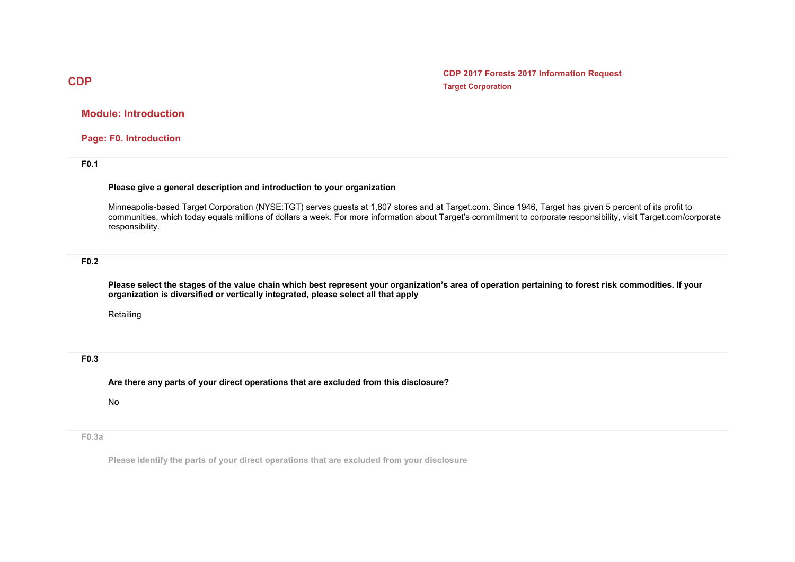**CDP 2017 Forests 2017 Information Request Target Corporation**

**Module: Introduction**

**Page: F0. Introduction**

**F0.1** 

#### **Please give a general description and introduction to your organization**

Minneapolis-based Target Corporation (NYSE:TGT) serves guests at 1,807 stores and at Target.com. Since 1946, Target has given 5 percent of its profit to communities, which today equals millions of dollars a week. For more information about Target's commitment to corporate responsibility, visit Target.com/corporate responsibility.

### **F0.2**

**Please select the stages of the value chain which best represent your organization's area of operation pertaining to forest risk commodities. If your organization is diversified or vertically integrated, please select all that apply**

Retailing

### **F0.3**

**Are there any parts of your direct operations that are excluded from this disclosure?**

No

**F0.3a**

**Please identify the parts of your direct operations that are excluded from your disclosure**

# **CDP**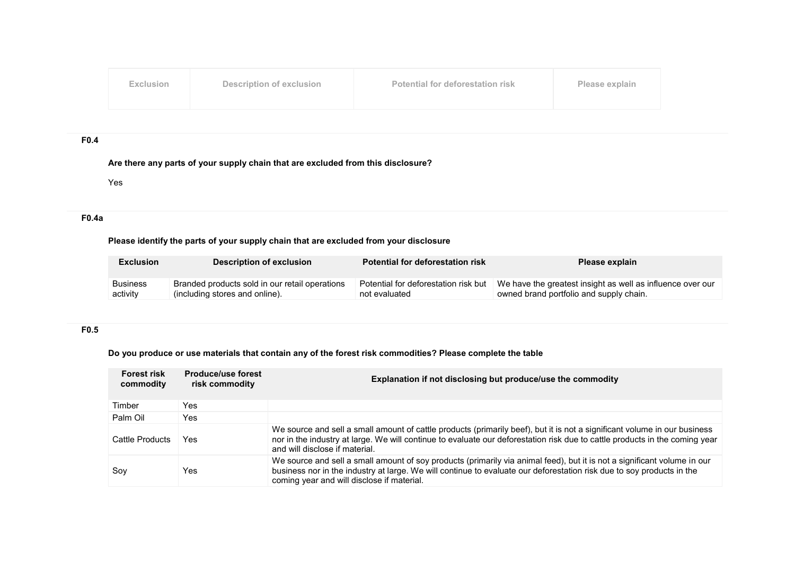| Exclusion | Description of exclusion | Potential for deforestation risk | Please explain |
|-----------|--------------------------|----------------------------------|----------------|
|           |                          |                                  |                |

### **F0.4**

**Are there any parts of your supply chain that are excluded from this disclosure?**

Yes

## **F0.4a**

### **Please identify the parts of your supply chain that are excluded from your disclosure**

| <b>Exclusion</b> | <b>Description of exclusion</b>                | <b>Potential for deforestation risk</b> | Please explain                                             |
|------------------|------------------------------------------------|-----------------------------------------|------------------------------------------------------------|
| <b>Business</b>  | Branded products sold in our retail operations | Potential for deforestation risk but    | We have the greatest insight as well as influence over our |
| activity         | (including stores and online).                 | not evaluated                           | owned brand portfolio and supply chain.                    |

## **F0.5**

# **Do you produce or use materials that contain any of the forest risk commodities? Please complete the table**

| <b>Forest risk</b><br>commodity | <b>Produce/use forest</b><br>risk commodity | Explanation if not disclosing but produce/use the commodity                                                                                                                                                                                                                                     |
|---------------------------------|---------------------------------------------|-------------------------------------------------------------------------------------------------------------------------------------------------------------------------------------------------------------------------------------------------------------------------------------------------|
| Timber                          | Yes                                         |                                                                                                                                                                                                                                                                                                 |
| Palm Oil                        | Yes.                                        |                                                                                                                                                                                                                                                                                                 |
| Cattle Products                 | Yes                                         | We source and sell a small amount of cattle products (primarily beef), but it is not a significant volume in our business<br>nor in the industry at large. We will continue to evaluate our deforestation risk due to cattle products in the coming year<br>and will disclose if material.      |
| Soy                             | Yes                                         | We source and sell a small amount of soy products (primarily via animal feed), but it is not a significant volume in our<br>business nor in the industry at large. We will continue to evaluate our deforestation risk due to soy products in the<br>coming year and will disclose if material. |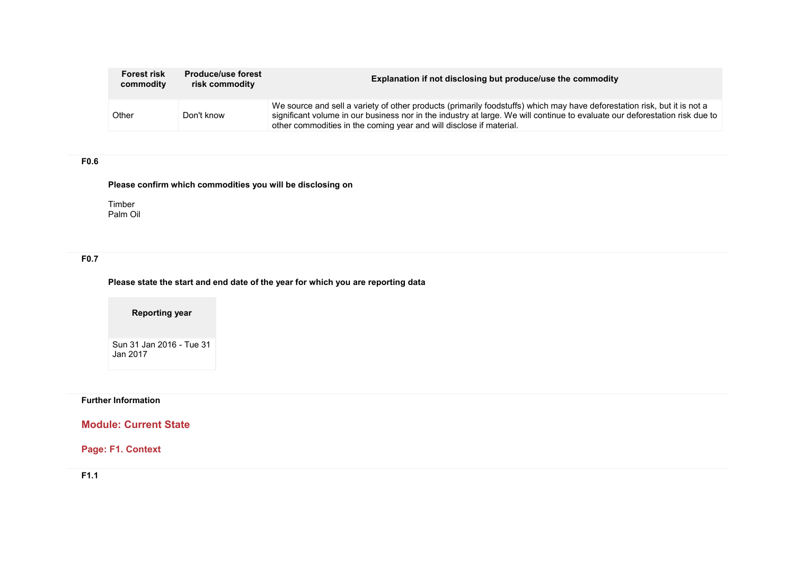| <b>Forest risk</b><br>commodity | <b>Produce/use forest</b><br>risk commodity | Explanation if not disclosing but produce/use the commodity                                                                                                                                                                                                                                                                    |
|---------------------------------|---------------------------------------------|--------------------------------------------------------------------------------------------------------------------------------------------------------------------------------------------------------------------------------------------------------------------------------------------------------------------------------|
| Other                           | Don't know                                  | We source and sell a variety of other products (primarily foodstuffs) which may have deforestation risk, but it is not a<br>significant volume in our business nor in the industry at large. We will continue to evaluate our deforestation risk due to<br>other commodities in the coming year and will disclose if material. |

## **F0.6**

# **Please confirm which commodities you will be disclosing on**

Timber Palm Oil

# **F0.7**

**Please state the start and end date of the year for which you are reporting data**

**Reporting year**

Sun 31 Jan 2016 - Tue 31 Jan 2017

## **Further Information**

# **Module: Current State**

# **Page: F1. Context**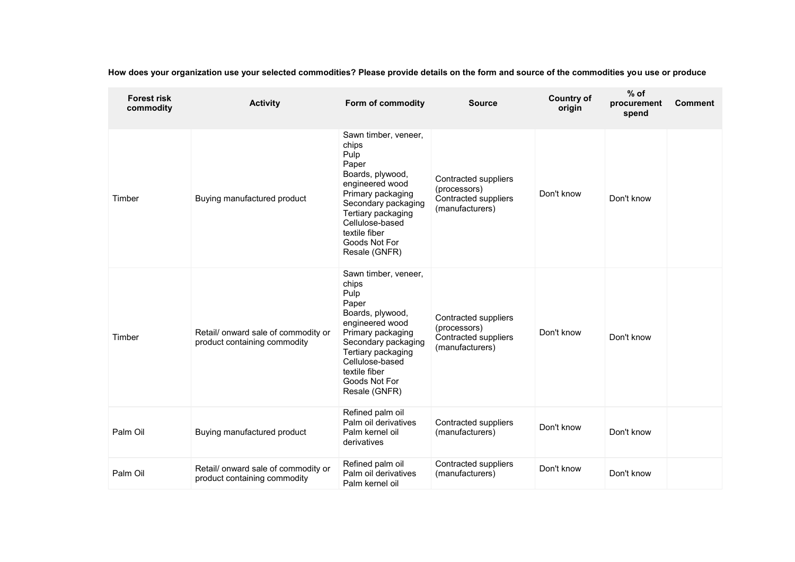**How does your organization use your selected commodities? Please provide details on the form and source of the commodities you use or produce**

| <b>Forest risk</b><br>commodity | <b>Activity</b>                                                     | Form of commodity                                                                                                                                                                                                             | <b>Source</b>                                                                   | <b>Country of</b><br>origin | $%$ of<br>procurement<br>spend | <b>Comment</b> |
|---------------------------------|---------------------------------------------------------------------|-------------------------------------------------------------------------------------------------------------------------------------------------------------------------------------------------------------------------------|---------------------------------------------------------------------------------|-----------------------------|--------------------------------|----------------|
| Timber                          | Buying manufactured product                                         | Sawn timber, veneer,<br>chips<br>Pulp<br>Paper<br>Boards, plywood,<br>engineered wood<br>Primary packaging<br>Secondary packaging<br>Tertiary packaging<br>Cellulose-based<br>textile fiber<br>Goods Not For<br>Resale (GNFR) | Contracted suppliers<br>(processors)<br>Contracted suppliers<br>(manufacturers) | Don't know                  | Don't know                     |                |
| Timber                          | Retail/onward sale of commodity or<br>product containing commodity  | Sawn timber, veneer,<br>chips<br>Pulp<br>Paper<br>Boards, plywood,<br>engineered wood<br>Primary packaging<br>Secondary packaging<br>Tertiary packaging<br>Cellulose-based<br>textile fiber<br>Goods Not For<br>Resale (GNFR) | Contracted suppliers<br>(processors)<br>Contracted suppliers<br>(manufacturers) | Don't know                  | Don't know                     |                |
| Palm Oil                        | Buying manufactured product                                         | Refined palm oil<br>Palm oil derivatives<br>Palm kernel oil<br>derivatives                                                                                                                                                    | Contracted suppliers<br>(manufacturers)                                         | Don't know                  | Don't know                     |                |
| Palm Oil                        | Retail/ onward sale of commodity or<br>product containing commodity | Refined palm oil<br>Palm oil derivatives<br>Palm kernel oil                                                                                                                                                                   | Contracted suppliers<br>(manufacturers)                                         | Don't know                  | Don't know                     |                |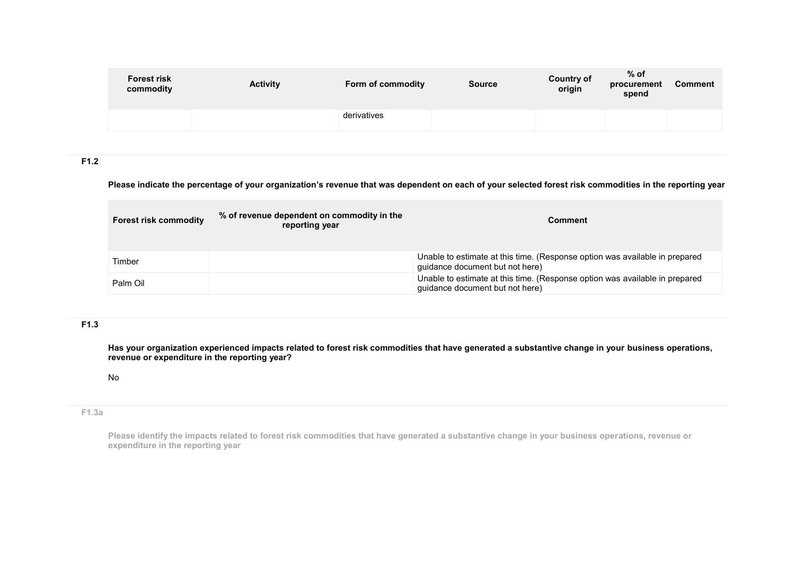| derivatives | <b>Forest risk</b><br>commodity | <b>Activity</b> | Form of commodity | <b>Source</b> | <b>Country of</b><br>origin | $%$ of<br>procurement<br>spend | <b>Comment</b> |
|-------------|---------------------------------|-----------------|-------------------|---------------|-----------------------------|--------------------------------|----------------|
|             |                                 |                 |                   |               |                             |                                |                |

# **F1.2**

#### **Please indicate the percentage of your organization's revenue that was dependent on each of your selected forest risk commodities in the reporting year**

| <b>Forest risk commodity</b> | % of revenue dependent on commodity in the<br>reporting year | <b>Comment</b>                                                                                                 |
|------------------------------|--------------------------------------------------------------|----------------------------------------------------------------------------------------------------------------|
| Timber                       |                                                              | Unable to estimate at this time. (Response option was available in prepared<br>quidance document but not here) |
| Palm Oil                     |                                                              | Unable to estimate at this time. (Response option was available in prepared<br>quidance document but not here) |

### **F1.3**

**Has your organization experienced impacts related to forest risk commodities that have generated a substantive change in your business operations, revenue or expenditure in the reporting year?**

#### No

### **F1.3a**

**Please identify the impacts related to forest risk commodities that have generated a substantive change in your business operations, revenue or expenditure in the reporting year**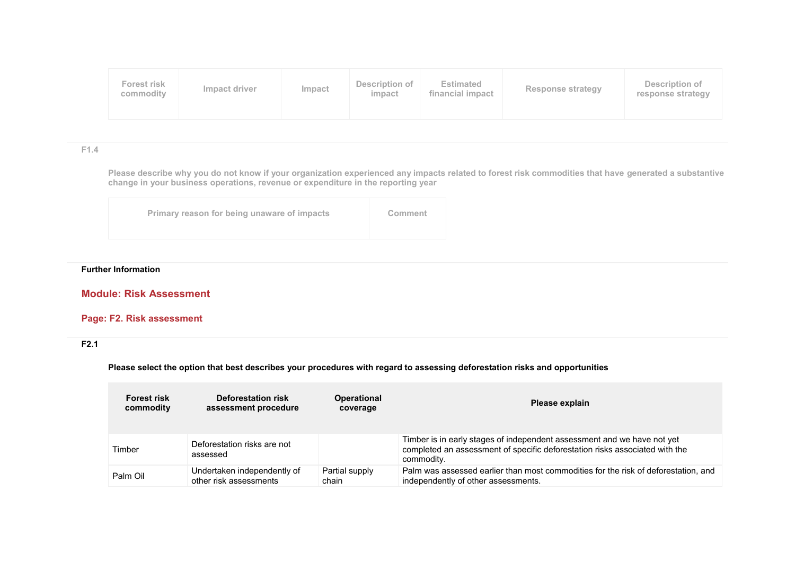**F1.4**

**Please describe why you do not know if your organization experienced any impacts related to forest risk commodities that have generated a substantive change in your business operations, revenue or expenditure in the reporting year**

| Primary reason for being unaware of impacts | Comment |
|---------------------------------------------|---------|
|                                             |         |

### **Further Information**

# **Module: Risk Assessment**

## **Page: F2. Risk assessment**

## **F2.1**

**Please select the option that best describes your procedures with regard to assessing deforestation risks and opportunities**

| <b>Forest risk</b> | <b>Deforestation risk</b>               | <b>Operational</b> | Please explain                                                                                                                                                       |
|--------------------|-----------------------------------------|--------------------|----------------------------------------------------------------------------------------------------------------------------------------------------------------------|
| commodity          | assessment procedure                    | coverage           |                                                                                                                                                                      |
| Timber             | Deforestation risks are not<br>assessed |                    | Timber is in early stages of independent assessment and we have not yet<br>completed an assessment of specific deforestation risks associated with the<br>commodity. |
| Palm Oil           | Undertaken independently of             | Partial supply     | Palm was assessed earlier than most commodities for the risk of deforestation, and                                                                                   |
|                    | other risk assessments                  | chain              | independently of other assessments.                                                                                                                                  |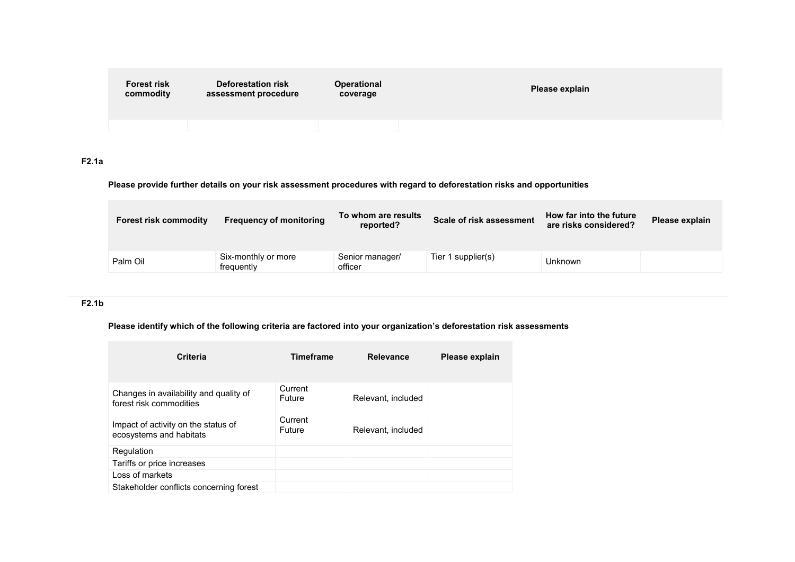| <b>Forest risk</b><br>commodity | <b>Deforestation risk</b><br>assessment procedure | <b>Operational</b><br>coverage | Please explain |
|---------------------------------|---------------------------------------------------|--------------------------------|----------------|
|                                 |                                                   |                                |                |
|                                 |                                                   |                                |                |

## **F2.1a**

# **Please provide further details on your risk assessment procedures with regard to deforestation risks and opportunities**

| <b>Forest risk commodity</b> | <b>Frequency of monitoring</b>    | To whom are results<br>reported? | Scale of risk assessment | How far into the future<br>are risks considered? | Please explain |
|------------------------------|-----------------------------------|----------------------------------|--------------------------|--------------------------------------------------|----------------|
| Palm Oil                     | Six-monthly or more<br>frequently | Senior manager/<br>officer       | Tier 1 supplier(s)       | Unknown                                          |                |

## **F2.1b**

### **Please identify which of the following criteria are factored into your organization's deforestation risk assessments**

| Criteria                                                          | <b>Timeframe</b>         | <b>Relevance</b>   | Please explain |
|-------------------------------------------------------------------|--------------------------|--------------------|----------------|
| Changes in availability and quality of<br>forest risk commodities | Current<br>Future        | Relevant, included |                |
| Impact of activity on the status of<br>ecosystems and habitats    | Current<br><b>Future</b> | Relevant, included |                |
| Regulation                                                        |                          |                    |                |
| Tariffs or price increases                                        |                          |                    |                |
| Loss of markets                                                   |                          |                    |                |
| Stakeholder conflicts concerning forest                           |                          |                    |                |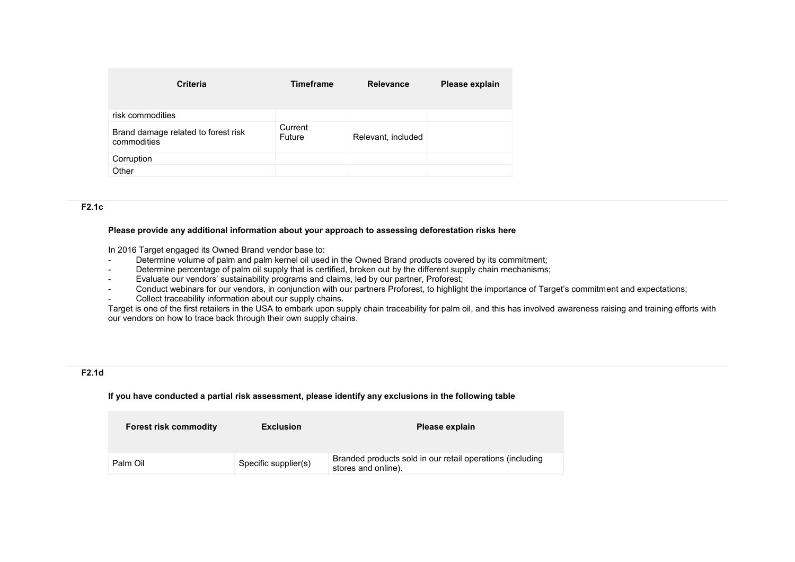| <b>Criteria</b>                                    | <b>Timeframe</b>  | <b>Relevance</b>   | Please explain |
|----------------------------------------------------|-------------------|--------------------|----------------|
| risk commodities                                   |                   |                    |                |
| Brand damage related to forest risk<br>commodities | Current<br>Future | Relevant, included |                |
| Corruption                                         |                   |                    |                |
| Other                                              |                   |                    |                |

#### **F2.1c**

#### **Please provide any additional information about your approach to assessing deforestation risks here**

In 2016 Target engaged its Owned Brand vendor base to:

- Determine volume of palm and palm kernel oil used in the Owned Brand products covered by its commitment;
- Determine percentage of palm oil supply that is certified, broken out by the different supply chain mechanisms;
- Evaluate our vendors' sustainability programs and claims, led by our partner, Proforest;
- Conduct webinars for our vendors, in conjunction with our partners Proforest, to highlight the importance of Target's commitment and expectations;
- Collect traceability information about our supply chains.

Target is one of the first retailers in the USA to embark upon supply chain traceability for palm oil, and this has involved awareness raising and training efforts with our vendors on how to trace back through their own supply chains.

### **F2.1d**

**If you have conducted a partial risk assessment, please identify any exclusions in the following table**

| <b>Forest risk commodity</b> | <b>Exclusion</b>     | Please explain                                                                   |
|------------------------------|----------------------|----------------------------------------------------------------------------------|
| Palm Oil                     | Specific supplier(s) | Branded products sold in our retail operations (including<br>stores and online). |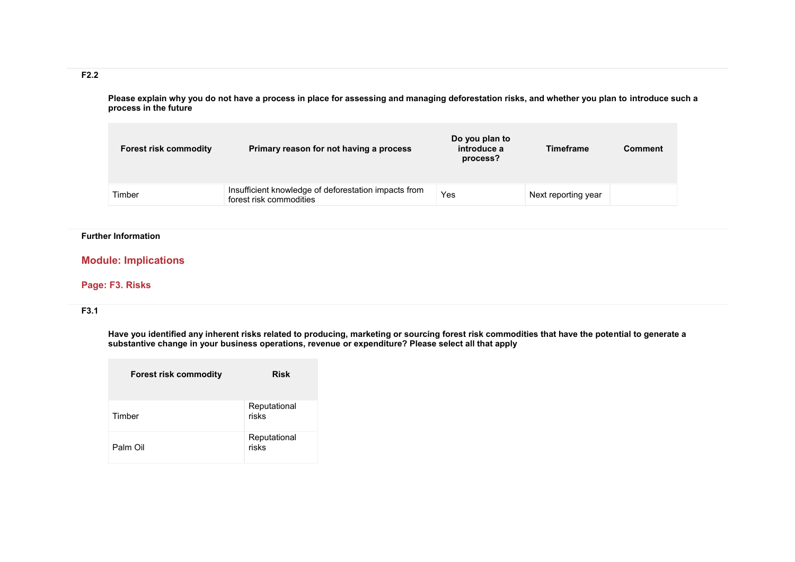# **F2.2**

**Please explain why you do not have a process in place for assessing and managing deforestation risks, and whether you plan to introduce such a process in the future**

| <b>Forest risk commodity</b> | Primary reason for not having a process                                         | Do you plan to<br>introduce a<br>process? | <b>Timeframe</b>    | <b>Comment</b> |
|------------------------------|---------------------------------------------------------------------------------|-------------------------------------------|---------------------|----------------|
| Timber                       | Insufficient knowledge of deforestation impacts from<br>forest risk commodities | Yes                                       | Next reporting year |                |

### **Further Information**

## **Module: Implications**

### **Page: F3. Risks**

## **F3.1**

**Have you identified any inherent risks related to producing, marketing or sourcing forest risk commodities that have the potential to generate a substantive change in your business operations, revenue or expenditure? Please select all that apply**

| <b>Forest risk commodity</b> | <b>Risk</b>           |
|------------------------------|-----------------------|
| Timber                       | Reputational<br>risks |
| Palm Oil                     | Reputational<br>risks |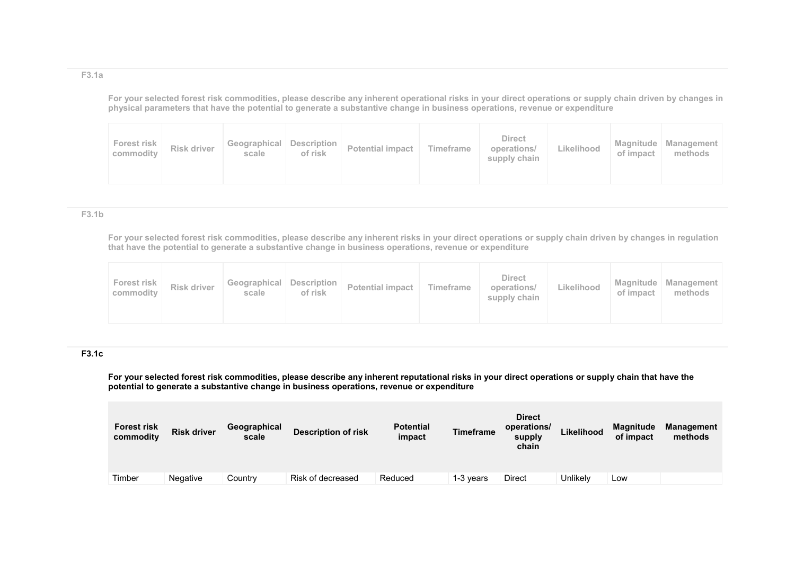#### **F3.1a**

**For your selected forest risk commodities, please describe any inherent operational risks in your direct operations or supply chain driven by changes in physical parameters that have the potential to generate a substantive change in business operations, revenue or expenditure**

| Forest risk<br>Risk driver<br>commodity<br>scale | Geographical Description<br>Potential impact<br>of risk | <b>Direct</b><br>Timeframe<br>operations/<br>supply chain | Likelihood | of impact | Magnitude   Management  <br>methods |
|--------------------------------------------------|---------------------------------------------------------|-----------------------------------------------------------|------------|-----------|-------------------------------------|
|--------------------------------------------------|---------------------------------------------------------|-----------------------------------------------------------|------------|-----------|-------------------------------------|

#### **F3.1b**

**For your selected forest risk commodities, please describe any inherent risks in your direct operations or supply chain driven by changes in regulation that have the potential to generate a substantive change in business operations, revenue or expenditure**

| Forest risk<br>commodity | Risk driver | Geographical   Description  <br>scale | of risk | Potential impact | Timeframe | <b>Direct</b><br>operations/<br>supply chain | Likelihood | of impact | Magnitude   Management  <br>methods |
|--------------------------|-------------|---------------------------------------|---------|------------------|-----------|----------------------------------------------|------------|-----------|-------------------------------------|
|--------------------------|-------------|---------------------------------------|---------|------------------|-----------|----------------------------------------------|------------|-----------|-------------------------------------|

#### **F3.1c**

**For your selected forest risk commodities, please describe any inherent reputational risks in your direct operations or supply chain that have the potential to generate a substantive change in business operations, revenue or expenditure**

| <b>Forest risk</b><br>commodity | <b>Risk driver</b> | Geographical<br>scale | <b>Description of risk</b> | <b>Potential</b><br>impact | Timeframe | <b>Direct</b><br>operations/<br>supply<br>chain | Likelihood | <b>Magnitude</b><br>of impact | <b>Management</b><br>methods |
|---------------------------------|--------------------|-----------------------|----------------------------|----------------------------|-----------|-------------------------------------------------|------------|-------------------------------|------------------------------|
| Timber                          | Negative           | Country               | Risk of decreased          | Reduced                    | 1-3 years | <b>Direct</b>                                   | Unlikelv   | Low                           |                              |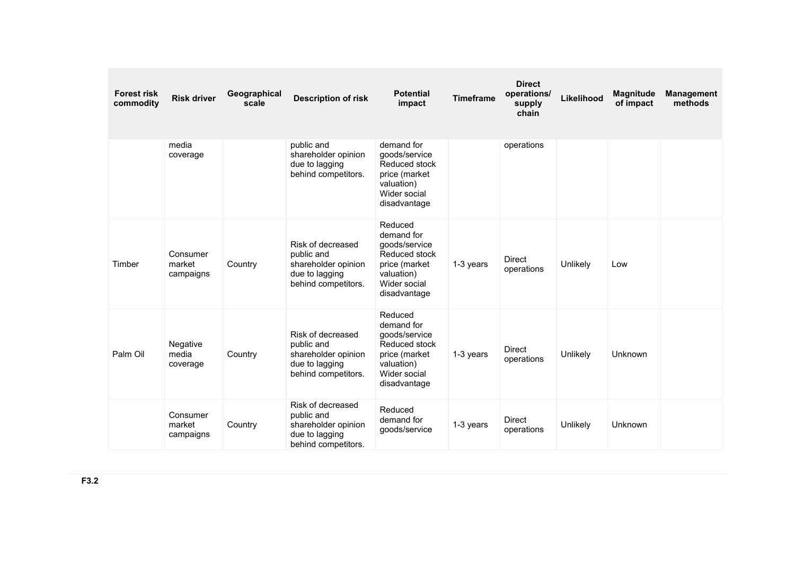| <b>Forest risk</b><br>commodity | <b>Risk driver</b>              | Geographical<br>scale | <b>Description of risk</b>                                                                      | <b>Potential</b><br>impact                                                                                             | <b>Timeframe</b> | <b>Direct</b><br>operations/<br>supply<br>chain | Likelihood | <b>Magnitude</b><br>of impact | <b>Management</b><br>methods |
|---------------------------------|---------------------------------|-----------------------|-------------------------------------------------------------------------------------------------|------------------------------------------------------------------------------------------------------------------------|------------------|-------------------------------------------------|------------|-------------------------------|------------------------------|
|                                 | media<br>coverage               |                       | public and<br>shareholder opinion<br>due to lagging<br>behind competitors.                      | demand for<br>goods/service<br>Reduced stock<br>price (market<br>valuation)<br>Wider social<br>disadvantage            |                  | operations                                      |            |                               |                              |
| Timber                          | Consumer<br>market<br>campaigns | Country               | Risk of decreased<br>public and<br>shareholder opinion<br>due to lagging<br>behind competitors. | Reduced<br>demand for<br>goods/service<br>Reduced stock<br>price (market<br>valuation)<br>Wider social<br>disadvantage | 1-3 years        | <b>Direct</b><br>operations                     | Unlikely   | Low                           |                              |
| Palm Oil                        | Negative<br>media<br>coverage   | Country               | Risk of decreased<br>public and<br>shareholder opinion<br>due to lagging<br>behind competitors. | Reduced<br>demand for<br>goods/service<br>Reduced stock<br>price (market<br>valuation)<br>Wider social<br>disadvantage | 1-3 years        | <b>Direct</b><br>operations                     | Unlikely   | <b>Unknown</b>                |                              |
|                                 | Consumer<br>market<br>campaigns | Country               | Risk of decreased<br>public and<br>shareholder opinion<br>due to lagging<br>behind competitors. | Reduced<br>demand for<br>goods/service                                                                                 | 1-3 years        | <b>Direct</b><br>operations                     | Unlikely   | Unknown                       |                              |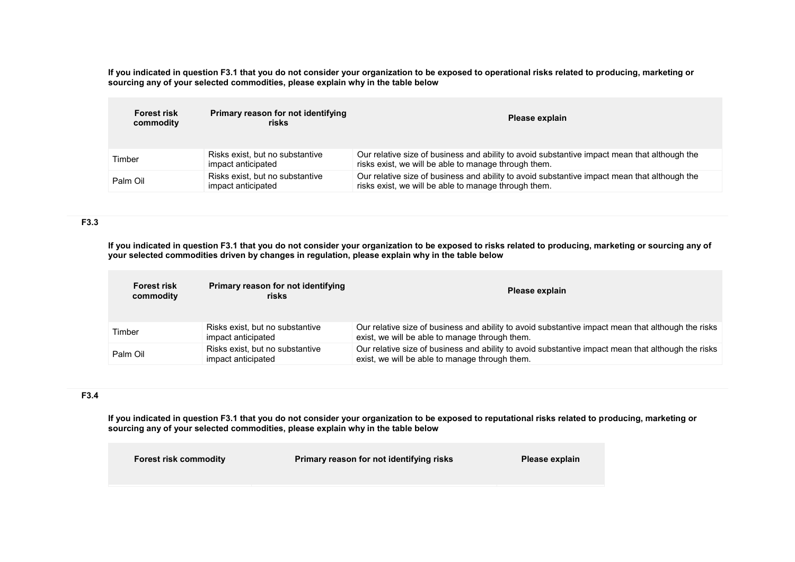**If you indicated in question F3.1 that you do not consider your organization to be exposed to operational risks related to producing, marketing or sourcing any of your selected commodities, please explain why in the table below**

| <b>Forest risk</b><br>commodity | Primary reason for not identifying<br>risks           | Please explain                                                                                                                                       |
|---------------------------------|-------------------------------------------------------|------------------------------------------------------------------------------------------------------------------------------------------------------|
| Timber                          | Risks exist, but no substantive<br>impact anticipated | Our relative size of business and ability to avoid substantive impact mean that although the<br>risks exist, we will be able to manage through them. |
| Palm Oil                        | Risks exist, but no substantive<br>impact anticipated | Our relative size of business and ability to avoid substantive impact mean that although the<br>risks exist, we will be able to manage through them. |

**F3.3** 

**If you indicated in question F3.1 that you do not consider your organization to be exposed to risks related to producing, marketing or sourcing any of your selected commodities driven by changes in regulation, please explain why in the table below**

| <b>Forest risk</b><br>commodity | Primary reason for not identifying<br>risks           | Please explain                                                                                                                                       |
|---------------------------------|-------------------------------------------------------|------------------------------------------------------------------------------------------------------------------------------------------------------|
| Timber                          | Risks exist, but no substantive<br>impact anticipated | Our relative size of business and ability to avoid substantive impact mean that although the risks<br>exist, we will be able to manage through them. |
| Palm Oil                        | Risks exist, but no substantive<br>impact anticipated | Our relative size of business and ability to avoid substantive impact mean that although the risks<br>exist, we will be able to manage through them. |

### **F3.4**

**If you indicated in question F3.1 that you do not consider your organization to be exposed to reputational risks related to producing, marketing or sourcing any of your selected commodities, please explain why in the table below**

| <b>Forest risk commodity</b> | Primary reason for not identifying risks | Please explain |
|------------------------------|------------------------------------------|----------------|
|                              |                                          |                |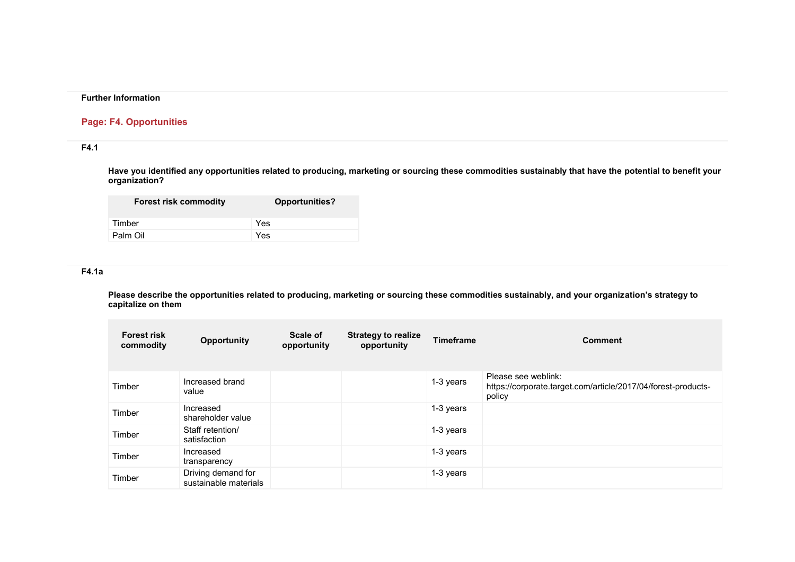### **Further Information**

## **Page: F4. Opportunities**

# **F4.1**

**Have you identified any opportunities related to producing, marketing or sourcing these commodities sustainably that have the potential to benefit your organization?**

| <b>Forest risk commodity</b> | Opportunities? |
|------------------------------|----------------|
| Timber                       | Yes            |
| Palm Oil                     | Yes            |

### **F4.1a**

**Please describe the opportunities related to producing, marketing or sourcing these commodities sustainably, and your organization's strategy to capitalize on them**

| <b>Forest risk</b><br>commodity | <b>Opportunity</b>                          | Scale of<br>opportunity | <b>Strategy to realize</b><br>opportunity | <b>Timeframe</b> | <b>Comment</b>                                                                                 |
|---------------------------------|---------------------------------------------|-------------------------|-------------------------------------------|------------------|------------------------------------------------------------------------------------------------|
| Timber                          | Increased brand<br>value                    |                         |                                           | 1-3 years        | Please see weblink:<br>https://corporate.target.com/article/2017/04/forest-products-<br>policy |
| Timber                          | Increased<br>shareholder value              |                         |                                           | 1-3 years        |                                                                                                |
| Timber                          | Staff retention/<br>satisfaction            |                         |                                           | 1-3 years        |                                                                                                |
| Timber                          | Increased<br>transparency                   |                         |                                           | 1-3 years        |                                                                                                |
| Timber                          | Driving demand for<br>sustainable materials |                         |                                           | 1-3 years        |                                                                                                |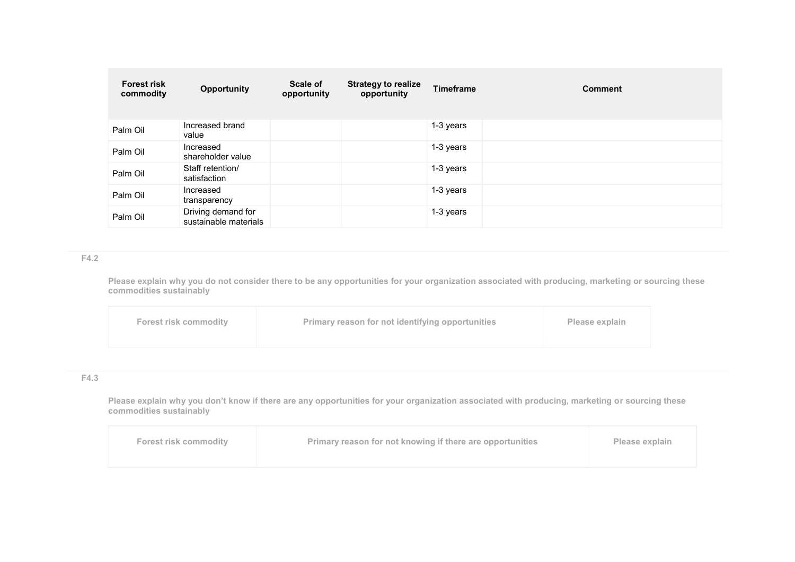| <b>Forest risk</b><br>commodity | <b>Opportunity</b>                          | Scale of<br>opportunity | <b>Strategy to realize</b><br>opportunity | <b>Timeframe</b> | <b>Comment</b> |
|---------------------------------|---------------------------------------------|-------------------------|-------------------------------------------|------------------|----------------|
| Palm Oil                        | Increased brand<br>value                    |                         |                                           | 1-3 years        |                |
| Palm Oil                        | Increased<br>shareholder value              |                         |                                           | 1-3 years        |                |
| Palm Oil                        | Staff retention/<br>satisfaction            |                         |                                           | 1-3 years        |                |
| Palm Oil                        | Increased<br>transparency                   |                         |                                           | 1-3 years        |                |
| Palm Oil                        | Driving demand for<br>sustainable materials |                         |                                           | 1-3 years        |                |

### **F4.2**

**Please explain why you do not consider there to be any opportunities for your organization associated with producing, marketing or sourcing these commodities sustainably**

|--|

### **F4.3**

**Please explain why you don't know if there are any opportunities for your organization associated with producing, marketing or sourcing these commodities sustainably**

| <b>Forest risk commodity</b> | Primary reason for not knowing if there are opportunities | Please explain |
|------------------------------|-----------------------------------------------------------|----------------|
|------------------------------|-----------------------------------------------------------|----------------|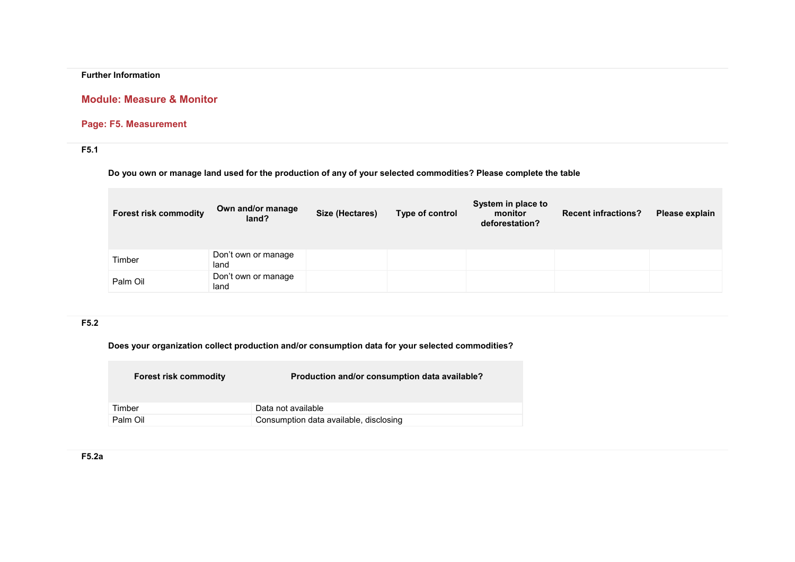## **Further Information**

# **Module: Measure & Monitor**

# **Page: F5. Measurement**

# **F5.1**

**Do you own or manage land used for the production of any of your selected commodities? Please complete the table**

| <b>Forest risk commodity</b> | Own and/or manage<br>land?  | Size (Hectares) | Type of control | System in place to<br>monitor<br>deforestation? | <b>Recent infractions?</b> | Please explain |
|------------------------------|-----------------------------|-----------------|-----------------|-------------------------------------------------|----------------------------|----------------|
| Timber                       | Don't own or manage<br>land |                 |                 |                                                 |                            |                |
| Palm Oil                     | Don't own or manage<br>land |                 |                 |                                                 |                            |                |

# **F5.2**

**Does your organization collect production and/or consumption data for your selected commodities?**

| <b>Forest risk commodity</b> | Production and/or consumption data available? |
|------------------------------|-----------------------------------------------|
| Timber                       | Data not available                            |
| Palm Oil                     | Consumption data available, disclosing        |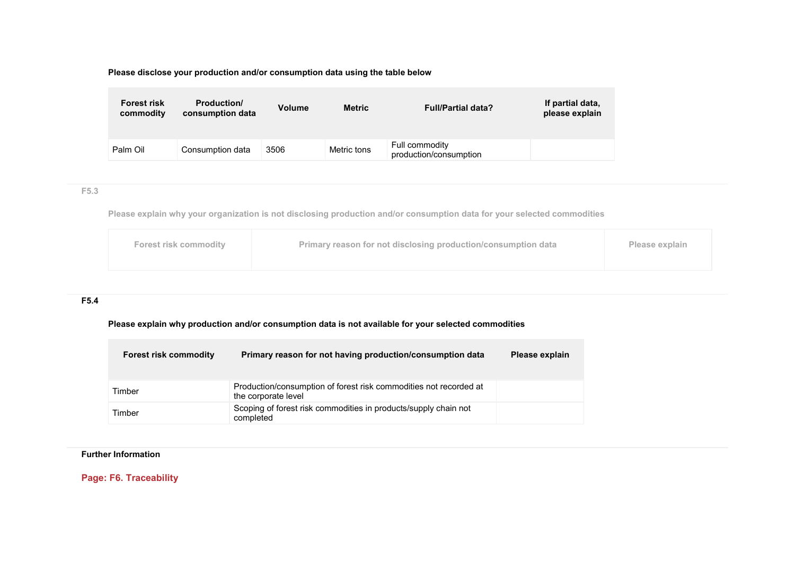**Please disclose your production and/or consumption data using the table below**

| <b>Forest risk</b><br>commodity | <b>Production/</b><br>consumption data | <b>Volume</b> | <b>Metric</b> | <b>Full/Partial data?</b>                | If partial data,<br>please explain |
|---------------------------------|----------------------------------------|---------------|---------------|------------------------------------------|------------------------------------|
| Palm Oil                        | Consumption data                       | 3506          | Metric tons   | Full commodity<br>production/consumption |                                    |

### **F5.3**

**Please explain why your organization is not disclosing production and/or consumption data for your selected commodities**

| <b>Forest risk commodity</b> | <b>Primary reason for not disclosing production/consumption data</b> | Please explain |
|------------------------------|----------------------------------------------------------------------|----------------|
|                              |                                                                      |                |

## **F5.4**

**Please explain why production and/or consumption data is not available for your selected commodities**

| <b>Forest risk commodity</b> | Primary reason for not having production/consumption data                                | Please explain |
|------------------------------|------------------------------------------------------------------------------------------|----------------|
| Timber                       | Production/consumption of forest risk commodities not recorded at<br>the corporate level |                |
| Timber                       | Scoping of forest risk commodities in products/supply chain not<br>completed             |                |

# **Further Information**

**Page: F6. Traceability**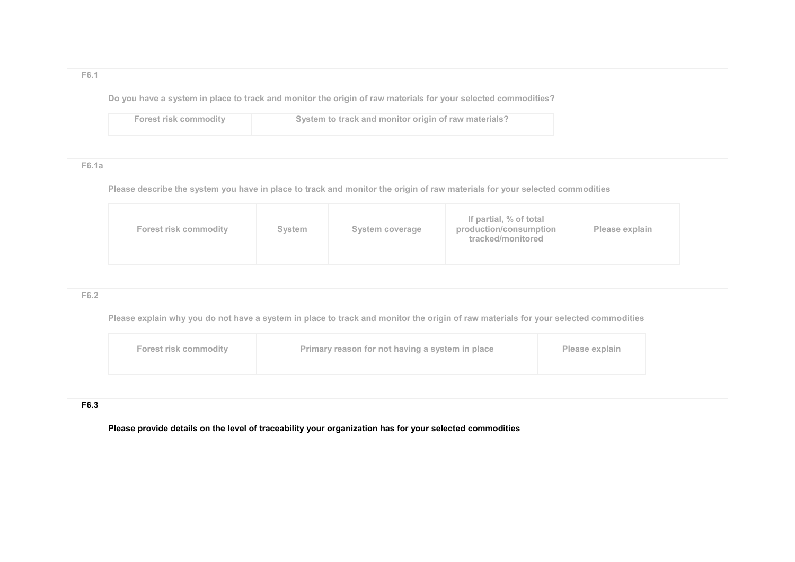### **F6.1**

**Do you have a system in place to track and monitor the origin of raw materials for your selected commodities?**

| Forest risk commodity | System to track and monitor origin of raw materials? |
|-----------------------|------------------------------------------------------|
|                       |                                                      |

### **F6.1a**

**Please describe the system you have in place to track and monitor the origin of raw materials for your selected commodities**

|--|

## **F6.2**

**Please explain why you do not have a system in place to track and monitor the origin of raw materials for your selected commodities**

| <b>Forest risk commodity</b> | Primary reason for not having a system in place | Please explain |
|------------------------------|-------------------------------------------------|----------------|
|                              |                                                 |                |

### **F6.3**

**Please provide details on the level of traceability your organization has for your selected commodities**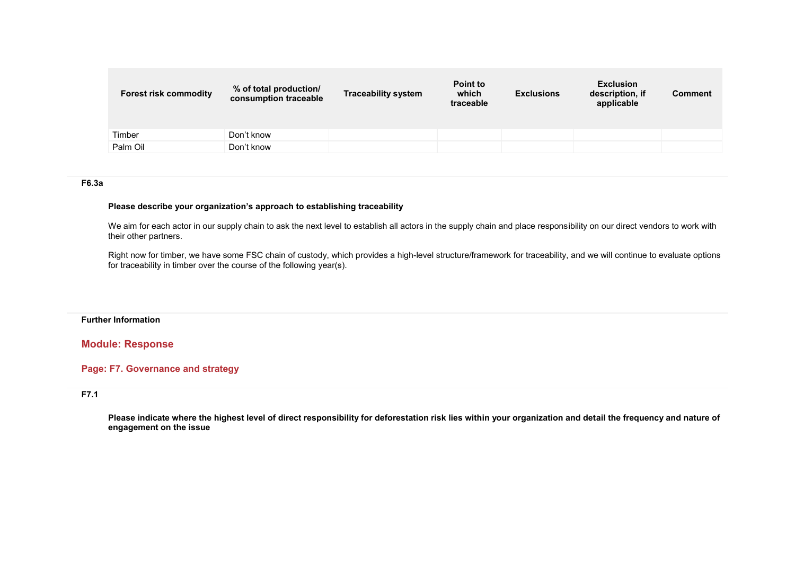| <b>Forest risk commodity</b> | % of total production/<br>consumption traceable | <b>Traceability system</b> | Point to<br>which<br>traceable | <b>Exclusions</b> | <b>Exclusion</b><br>description, if<br>applicable | <b>Comment</b> |
|------------------------------|-------------------------------------------------|----------------------------|--------------------------------|-------------------|---------------------------------------------------|----------------|
| Timber                       | Don't know                                      |                            |                                |                   |                                                   |                |
| Palm Oil                     | Don't know                                      |                            |                                |                   |                                                   |                |

### **F6.3a**

#### **Please describe your organization's approach to establishing traceability**

We aim for each actor in our supply chain to ask the next level to establish all actors in the supply chain and place responsibility on our direct vendors to work with their other partners.

Right now for timber, we have some FSC chain of custody, which provides a high-level structure/framework for traceability, and we will continue to evaluate options for traceability in timber over the course of the following year(s).

#### **Further Information**

#### **Module: Response**

### **Page: F7. Governance and strategy**

#### **F7.1**

**Please indicate where the highest level of direct responsibility for deforestation risk lies within your organization and detail the frequency and nature of engagement on the issue**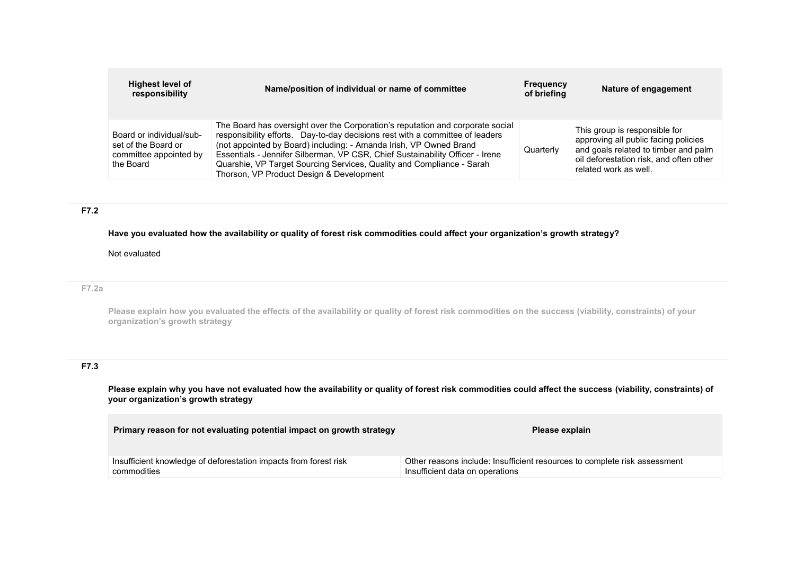| <b>Highest level of</b><br>responsibility                                              | Name/position of individual or name of committee                                                                                                                                                                                                                                                                                                                                                                                            | Frequency<br>of briefing | Nature of engagement                                                                                                                                                              |
|----------------------------------------------------------------------------------------|---------------------------------------------------------------------------------------------------------------------------------------------------------------------------------------------------------------------------------------------------------------------------------------------------------------------------------------------------------------------------------------------------------------------------------------------|--------------------------|-----------------------------------------------------------------------------------------------------------------------------------------------------------------------------------|
| Board or individual/sub-<br>set of the Board or<br>committee appointed by<br>the Board | The Board has oversight over the Corporation's reputation and corporate social<br>responsibility efforts. Day-to-day decisions rest with a committee of leaders<br>(not appointed by Board) including: - Amanda Irish, VP Owned Brand<br>Essentials - Jennifer Silberman, VP CSR, Chief Sustainability Officer - Irene<br>Quarshie, VP Target Sourcing Services, Quality and Compliance - Sarah<br>Thorson, VP Product Design & Development | Quarterly                | This group is responsible for<br>approving all public facing policies<br>and goals related to timber and palm<br>oil deforestation risk, and often other<br>related work as well. |

# **F7.2**

**Have you evaluated how the availability or quality of forest risk commodities could affect your organization's growth strategy?**

### Not evaluated

#### **F7.2a**

**Please explain how you evaluated the effects of the availability or quality of forest risk commodities on the success (viability, constraints) of your organization's growth strategy**

# **F7.3**

**Please explain why you have not evaluated how the availability or quality of forest risk commodities could affect the success (viability, constraints) of your organization's growth strategy**

| Primary reason for not evaluating potential impact on growth strategy | Please explain                                                            |
|-----------------------------------------------------------------------|---------------------------------------------------------------------------|
| Insufficient knowledge of deforestation impacts from forest risk      | Other reasons include: Insufficient resources to complete risk assessment |
| commodities                                                           | Insufficient data on operations                                           |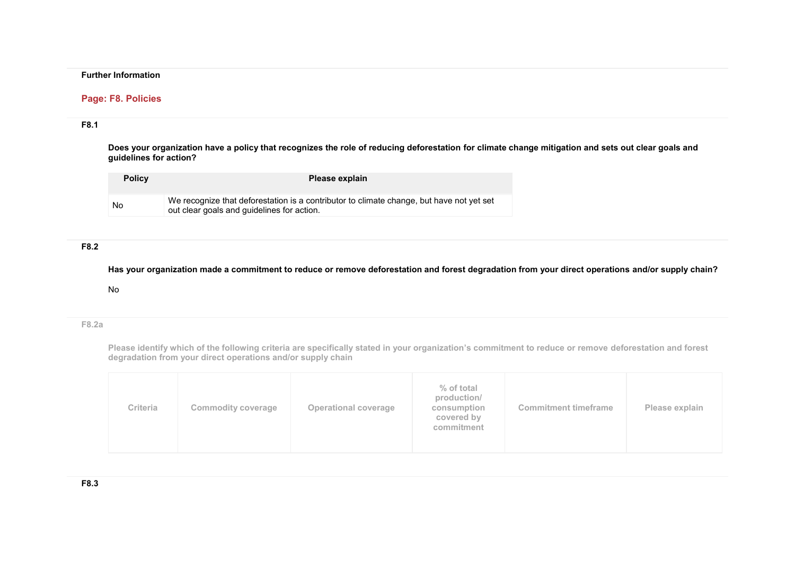### **Further Information**

#### **Page: F8. Policies**

### **F8.1**

**Does your organization have a policy that recognizes the role of reducing deforestation for climate change mitigation and sets out clear goals and guidelines for action?**

| <b>Policy</b> | Please explain                                                                                                                         |
|---------------|----------------------------------------------------------------------------------------------------------------------------------------|
| No            | We recognize that deforestation is a contributor to climate change, but have not yet set<br>out clear goals and guidelines for action. |

## **F8.2**

**Has your organization made a commitment to reduce or remove deforestation and forest degradation from your direct operations and/or supply chain?**

#### No

### **F8.2a**

**Please identify which of the following criteria are specifically stated in your organization's commitment to reduce or remove deforestation and forest degradation from your direct operations and/or supply chain**

| Criteria<br><b>Operational coverage</b><br><b>Commodity coverage</b> | % of total<br>production/<br><b>Commitment timeframe</b><br>consumption<br>Please explain<br>covered by<br>commitment |
|----------------------------------------------------------------------|-----------------------------------------------------------------------------------------------------------------------|
|----------------------------------------------------------------------|-----------------------------------------------------------------------------------------------------------------------|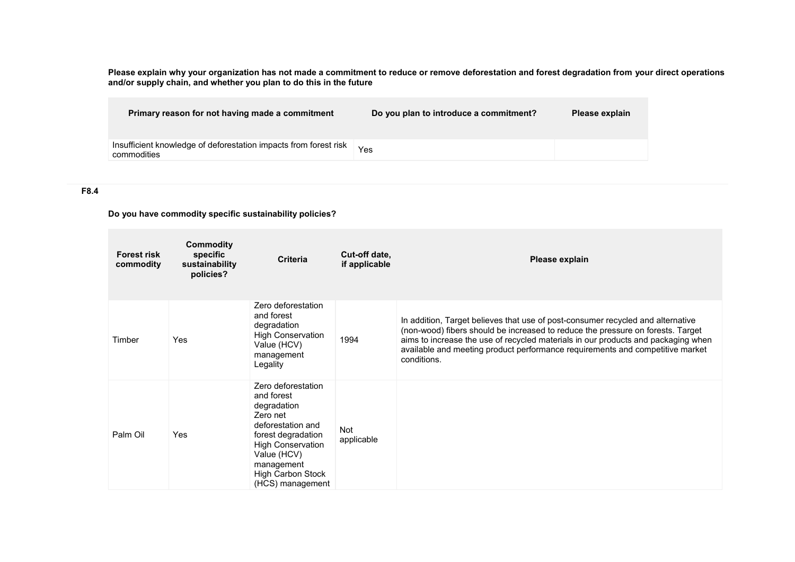**Please explain why your organization has not made a commitment to reduce or remove deforestation and forest degradation from your direct operations and/or supply chain, and whether you plan to do this in the future**

| Primary reason for not having made a commitment                                 | Do you plan to introduce a commitment? | Please explain |
|---------------------------------------------------------------------------------|----------------------------------------|----------------|
| Insufficient knowledge of deforestation impacts from forest risk<br>commodities | Yes                                    |                |

### **F8.4**

**Do you have commodity specific sustainability policies?**

| <b>Forest risk</b><br>commodity | <b>Commodity</b><br>specific<br>sustainability<br>policies? | <b>Criteria</b>                                                                                                                                                                                                 | Cut-off date,<br>if applicable | Please explain                                                                                                                                                                                                                                                                                                                                          |
|---------------------------------|-------------------------------------------------------------|-----------------------------------------------------------------------------------------------------------------------------------------------------------------------------------------------------------------|--------------------------------|---------------------------------------------------------------------------------------------------------------------------------------------------------------------------------------------------------------------------------------------------------------------------------------------------------------------------------------------------------|
| Timber                          | Yes                                                         | Zero deforestation<br>and forest<br>degradation<br><b>High Conservation</b><br>Value (HCV)<br>management<br>Legality                                                                                            | 1994                           | In addition, Target believes that use of post-consumer recycled and alternative<br>(non-wood) fibers should be increased to reduce the pressure on forests. Target<br>aims to increase the use of recycled materials in our products and packaging when<br>available and meeting product performance requirements and competitive market<br>conditions. |
| Palm Oil                        | Yes                                                         | Zero deforestation<br>and forest<br>degradation<br>Zero net<br>deforestation and<br>forest degradation<br><b>High Conservation</b><br>Value (HCV)<br>management<br><b>High Carbon Stock</b><br>(HCS) management | Not<br>applicable              |                                                                                                                                                                                                                                                                                                                                                         |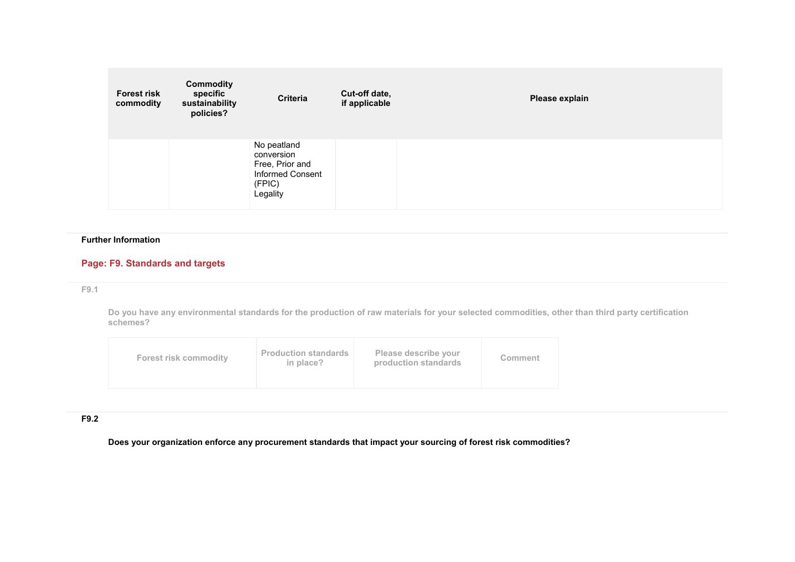| <b>Forest risk</b><br>commodity | <b>Commodity</b><br>specific<br>sustainability<br>policies? | <b>Criteria</b>                                                                        | Cut-off date,<br>if applicable | Please explain |
|---------------------------------|-------------------------------------------------------------|----------------------------------------------------------------------------------------|--------------------------------|----------------|
|                                 |                                                             | No peatland<br>conversion<br>Free, Prior and<br>Informed Consent<br>(FPIC)<br>Legality |                                |                |

## **Further Information**

# **Page: F9. Standards and targets**

## **F9.1**

**Do you have any environmental standards for the production of raw materials for your selected commodities, other than third party certification schemes?**

| <b>Production standards</b><br>Please describe your<br>Forest risk commodity<br>Comment<br>production standards<br>in place? |  |
|------------------------------------------------------------------------------------------------------------------------------|--|
|------------------------------------------------------------------------------------------------------------------------------|--|

## **F9.2**

**Does your organization enforce any procurement standards that impact your sourcing of forest risk commodities?**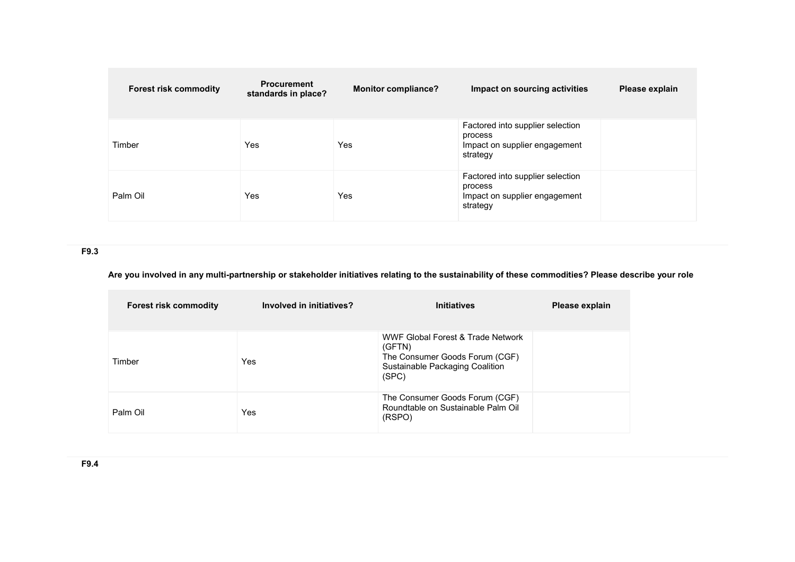| <b>Forest risk commodity</b> | <b>Procurement</b><br>standards in place? | <b>Monitor compliance?</b> | Impact on sourcing activities                                                            | Please explain |
|------------------------------|-------------------------------------------|----------------------------|------------------------------------------------------------------------------------------|----------------|
| Timber                       | Yes                                       | Yes                        | Factored into supplier selection<br>process<br>Impact on supplier engagement<br>strategy |                |
| Palm Oil                     | Yes                                       | Yes                        | Factored into supplier selection<br>process<br>Impact on supplier engagement<br>strategy |                |

**F9.3** 

### **Are you involved in any multi-partnership or stakeholder initiatives relating to the sustainability of these commodities? Please describe your role**

| <b>Forest risk commodity</b> | Involved in initiatives? | <b>Initiatives</b>                                                                                                        | Please explain |
|------------------------------|--------------------------|---------------------------------------------------------------------------------------------------------------------------|----------------|
| Timber                       | Yes                      | WWF Global Forest & Trade Network<br>(GFTN)<br>The Consumer Goods Forum (CGF)<br>Sustainable Packaging Coalition<br>(SPC) |                |
| Palm Oil                     | Yes                      | The Consumer Goods Forum (CGF)<br>Roundtable on Sustainable Palm Oil<br>(RSPO)                                            |                |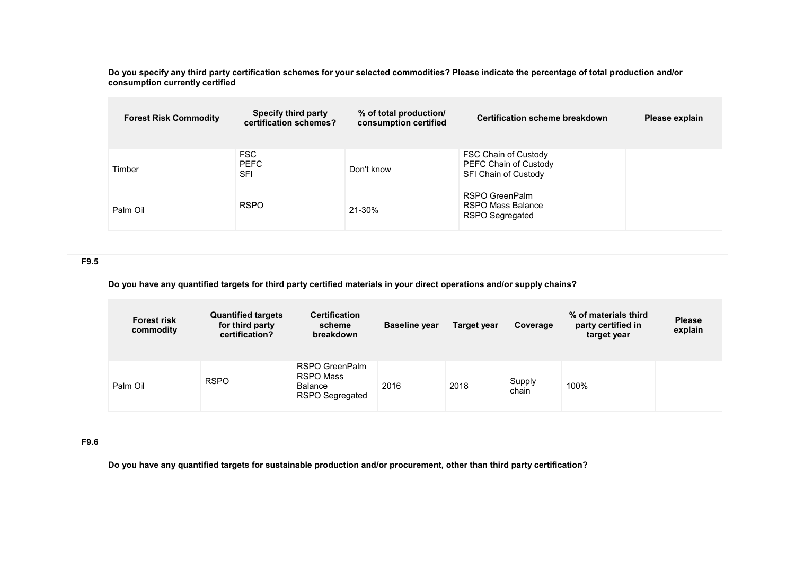**Do you specify any third party certification schemes for your selected commodities? Please indicate the percentage of total production and/or consumption currently certified**

| <b>Forest Risk Commodity</b> | <b>Specify third party</b><br>certification schemes? | % of total production/<br>consumption certified | <b>Certification scheme breakdown</b>                                 | Please explain |
|------------------------------|------------------------------------------------------|-------------------------------------------------|-----------------------------------------------------------------------|----------------|
| Timber                       | <b>FSC</b><br><b>PEFC</b><br>SFI                     | Don't know                                      | FSC Chain of Custody<br>PEFC Chain of Custody<br>SFI Chain of Custody |                |
| Palm Oil                     | <b>RSPO</b>                                          | 21-30%                                          | RSPO GreenPalm<br>RSPO Mass Balance<br>RSPO Segregated                |                |

**F9.5** 

**Do you have any quantified targets for third party certified materials in your direct operations and/or supply chains?**

| <b>Forest risk</b><br>commodity | <b>Quantified targets</b><br>for third party<br>certification? | <b>Certification</b><br>scheme<br>breakdown                             | <b>Baseline year</b> | Target year | Coverage        | % of materials third<br>party certified in<br>target year | <b>Please</b><br>explain |
|---------------------------------|----------------------------------------------------------------|-------------------------------------------------------------------------|----------------------|-------------|-----------------|-----------------------------------------------------------|--------------------------|
| Palm Oil                        | <b>RSPO</b>                                                    | RSPO GreenPalm<br><b>RSPO Mass</b><br>Balance<br><b>RSPO Segregated</b> | 2016                 | 2018        | Supply<br>chain | 100%                                                      |                          |

**F9.6** 

**Do you have any quantified targets for sustainable production and/or procurement, other than third party certification?**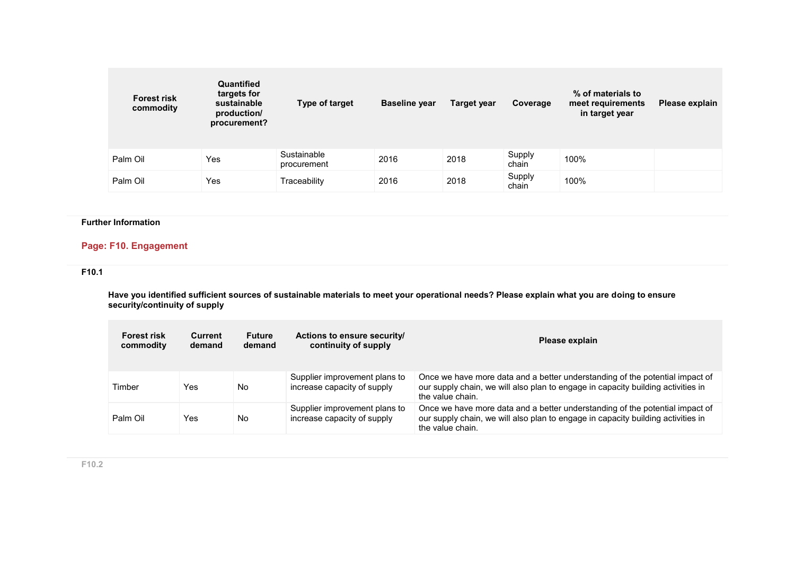| <b>Forest risk</b><br>commodity | Quantified<br>targets for<br>sustainable<br>production/<br>procurement? | Type of target             | <b>Baseline year</b> | Target year | Coverage        | % of materials to<br>meet requirements<br>in target year | Please explain |
|---------------------------------|-------------------------------------------------------------------------|----------------------------|----------------------|-------------|-----------------|----------------------------------------------------------|----------------|
| Palm Oil                        | Yes                                                                     | Sustainable<br>procurement | 2016                 | 2018        | Supply<br>chain | 100%                                                     |                |
| Palm Oil                        | Yes                                                                     | Traceability               | 2016                 | 2018        | Supply<br>chain | 100%                                                     |                |

## **Further Information**

# **Page: F10. Engagement**

## **F10.1**

**Have you identified sufficient sources of sustainable materials to meet your operational needs? Please explain what you are doing to ensure security/continuity of supply**

| <b>Forest risk</b><br>commodity | Current<br>demand | Future<br>demand | Actions to ensure security/<br>continuity of supply          | Please explain                                                                                                                                                                       |
|---------------------------------|-------------------|------------------|--------------------------------------------------------------|--------------------------------------------------------------------------------------------------------------------------------------------------------------------------------------|
| Timber                          | Yes               | No               | Supplier improvement plans to<br>increase capacity of supply | Once we have more data and a better understanding of the potential impact of<br>our supply chain, we will also plan to engage in capacity building activities in<br>the value chain. |
| Palm Oil                        | Yes               | No               | Supplier improvement plans to<br>increase capacity of supply | Once we have more data and a better understanding of the potential impact of<br>our supply chain, we will also plan to engage in capacity building activities in<br>the value chain. |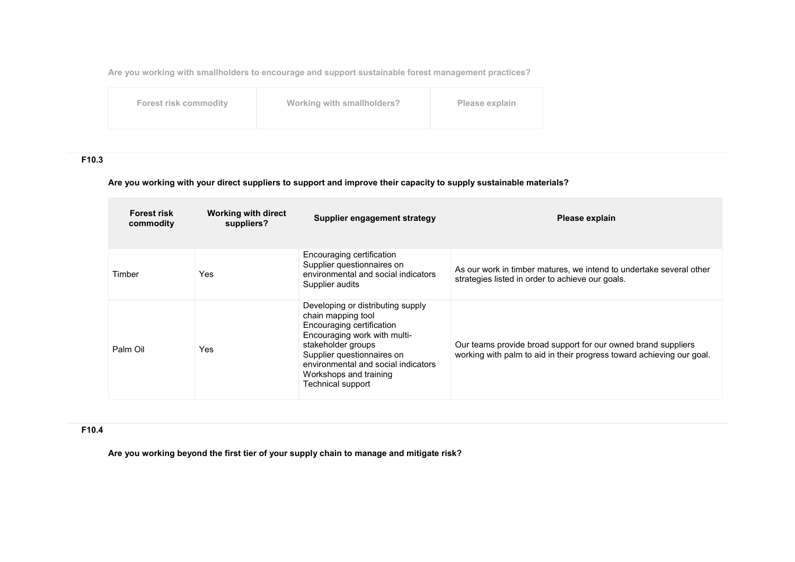**Are you working with smallholders to encourage and support sustainable forest management practices?**

| <b>Forest risk commodity</b> |  |
|------------------------------|--|
|------------------------------|--|

**For EXECOM For EXECOMPTE THE VIOLET SMALL EXECUTE THE VIOLET SMALL EXECUTE SMALL EXECUTE SMALL EXECUTE SMALL EXECUTE SMALL EXECUTE SMALL EXECUTE SMALL EXECUTE SMALL EXECUTE SMALL EXECUTE SMALL EXECUTE SMALL EXECUTE SMAL** 

# **F10.3**

### **Are you working with your direct suppliers to support and improve their capacity to supply sustainable materials?**

| <b>Forest risk</b><br>commodity | <b>Working with direct</b><br>suppliers? | Supplier engagement strategy                                                                                                                                                                                                                                   | Please explain                                                                                                                         |  |
|---------------------------------|------------------------------------------|----------------------------------------------------------------------------------------------------------------------------------------------------------------------------------------------------------------------------------------------------------------|----------------------------------------------------------------------------------------------------------------------------------------|--|
| Timber                          | Yes.                                     | Encouraging certification<br>Supplier questionnaires on<br>environmental and social indicators<br>Supplier audits                                                                                                                                              | As our work in timber matures, we intend to undertake several other<br>strategies listed in order to achieve our goals.                |  |
| Palm Oil                        | Yes                                      | Developing or distributing supply<br>chain mapping tool<br>Encouraging certification<br>Encouraging work with multi-<br>stakeholder groups<br>Supplier questionnaires on<br>environmental and social indicators<br>Workshops and training<br>Technical support | Our teams provide broad support for our owned brand suppliers<br>working with palm to aid in their progress toward achieving our goal. |  |

#### **F10.4**

**Are you working beyond the first tier of your supply chain to manage and mitigate risk?**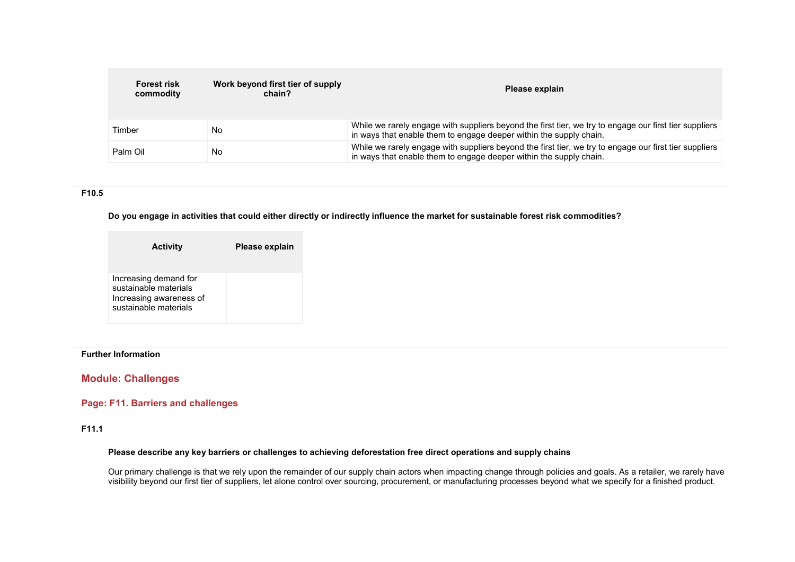| <b>Forest risk</b><br>commodity | Work beyond first tier of supply<br>chain? | Please explain                                                                                                                                                               |
|---------------------------------|--------------------------------------------|------------------------------------------------------------------------------------------------------------------------------------------------------------------------------|
| Timber                          | No                                         | While we rarely engage with suppliers beyond the first tier, we try to engage our first tier suppliers<br>in ways that enable them to engage deeper within the supply chain. |
| Palm Oil                        | No                                         | While we rarely engage with suppliers beyond the first tier, we try to engage our first tier suppliers<br>in ways that enable them to engage deeper within the supply chain. |

### **F10.5**

**Do you engage in activities that could either directly or indirectly influence the market for sustainable forest risk commodities?**

| <b>Activity</b>                                                                                    | Please explain |
|----------------------------------------------------------------------------------------------------|----------------|
| Increasing demand for<br>sustainable materials<br>Increasing awareness of<br>sustainable materials |                |

#### **Further Information**

## **Module: Challenges**

### **Page: F11. Barriers and challenges**

### **F11.1**

#### **Please describe any key barriers or challenges to achieving deforestation free direct operations and supply chains**

Our primary challenge is that we rely upon the remainder of our supply chain actors when impacting change through policies and goals. As a retailer, we rarely have visibility beyond our first tier of suppliers, let alone control over sourcing, procurement, or manufacturing processes beyond what we specify for a finished product.